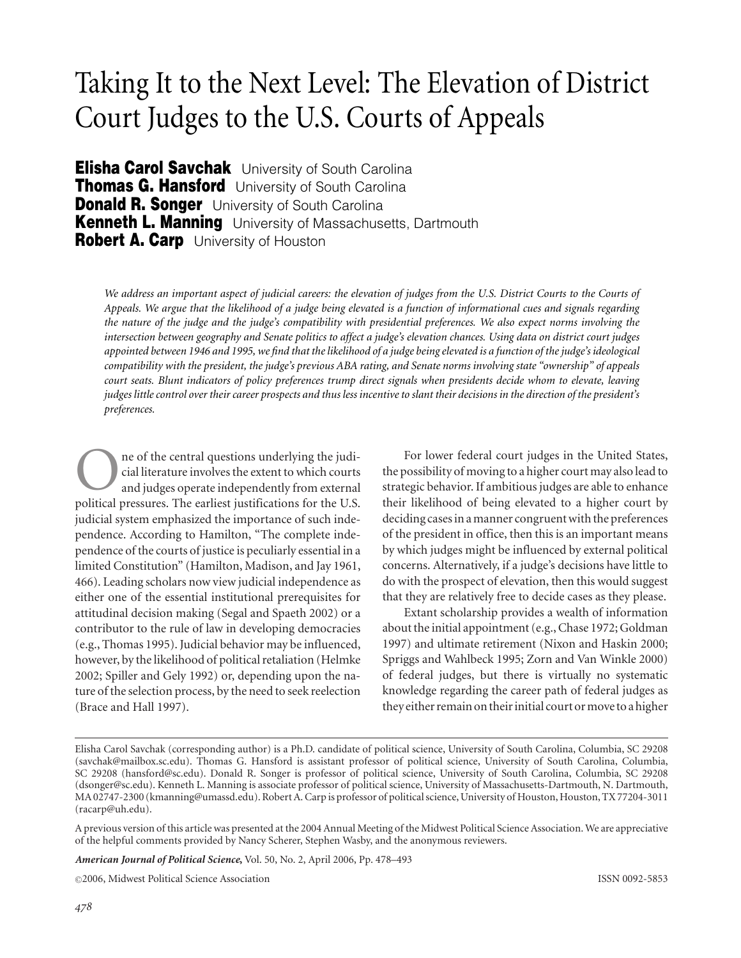# Taking It to the Next Level: The Elevation of District Court Judges to the U.S. Courts of Appeals

**Elisha Carol Savchak** University of South Carolina **Thomas G. Hansford** University of South Carolina **Donald R. Songer** University of South Carolina **Kenneth L. Manning** University of Massachusetts, Dartmouth **Robert A. Carp** University of Houston

*We address an important aspect of judicial careers: the elevation of judges from the U.S. District Courts to the Courts of Appeals. We argue that the likelihood of a judge being elevated is a function of informational cues and signals regarding the nature of the judge and the judge's compatibility with presidential preferences. We also expect norms involving the intersection between geography and Senate politics to affect a judge's elevation chances. Using data on district court judges appointed between 1946 and 1995, we find that the likelihood of a judge being elevated is a function of the judge's ideological compatibility with the president, the judge's previous ABA rating, and Senate norms involving state "ownership" of appeals court seats. Blunt indicators of policy preferences trump direct signals when presidents decide whom to elevate, leaving judges little control over their career prospects and thus less incentive to slant their decisions in the direction of the president's preferences.*

**O** ne of the central questions underlying the judi-<br>cial literature involves the extent to which courts<br>and judges operate independently from external<br>political pressures. The earliest institutions for the U.S. cial literature involves the extent to which courts and judges operate independently from external political pressures. The earliest justifications for the U.S. judicial system emphasized the importance of such independence. According to Hamilton, "The complete independence of the courts of justice is peculiarly essential in a limited Constitution" (Hamilton, Madison, and Jay 1961, 466). Leading scholars now view judicial independence as either one of the essential institutional prerequisites for attitudinal decision making (Segal and Spaeth 2002) or a contributor to the rule of law in developing democracies (e.g., Thomas 1995). Judicial behavior may be influenced, however, by the likelihood of political retaliation (Helmke 2002; Spiller and Gely 1992) or, depending upon the nature of the selection process, by the need to seek reelection (Brace and Hall 1997).

For lower federal court judges in the United States, the possibility of moving to a higher court may also lead to strategic behavior. If ambitious judges are able to enhance their likelihood of being elevated to a higher court by deciding cases in a manner congruent with the preferences of the president in office, then this is an important means by which judges might be influenced by external political concerns. Alternatively, if a judge's decisions have little to do with the prospect of elevation, then this would suggest that they are relatively free to decide cases as they please.

Extant scholarship provides a wealth of information about the initial appointment (e.g., Chase 1972; Goldman 1997) and ultimate retirement (Nixon and Haskin 2000; Spriggs and Wahlbeck 1995; Zorn and Van Winkle 2000) of federal judges, but there is virtually no systematic knowledge regarding the career path of federal judges as they either remain on their initial court or move to a higher

*American Journal of Political Science***,** Vol. 50, No. 2, April 2006, Pp. 478–493

-<sup>C</sup> 2006, Midwest Political Science Association ISSN 0092-5853

Elisha Carol Savchak (corresponding author) is a Ph.D. candidate of political science, University of South Carolina, Columbia, SC 29208 (savchak@mailbox.sc.edu). Thomas G. Hansford is assistant professor of political science, University of South Carolina, Columbia, SC 29208 (hansford@sc.edu). Donald R. Songer is professor of political science, University of South Carolina, Columbia, SC 29208 (dsonger@sc.edu). Kenneth L. Manning is associate professor of political science, University of Massachusetts-Dartmouth, N. Dartmouth, MA 02747-2300 (kmanning@umassd.edu). Robert A. Carp is professor of political science, University of Houston, Houston, TX 77204-3011 (racarp@uh.edu).

A previous version of this article was presented at the 2004 Annual Meeting of the Midwest Political Science Association. We are appreciative of the helpful comments provided by Nancy Scherer, Stephen Wasby, and the anonymous reviewers.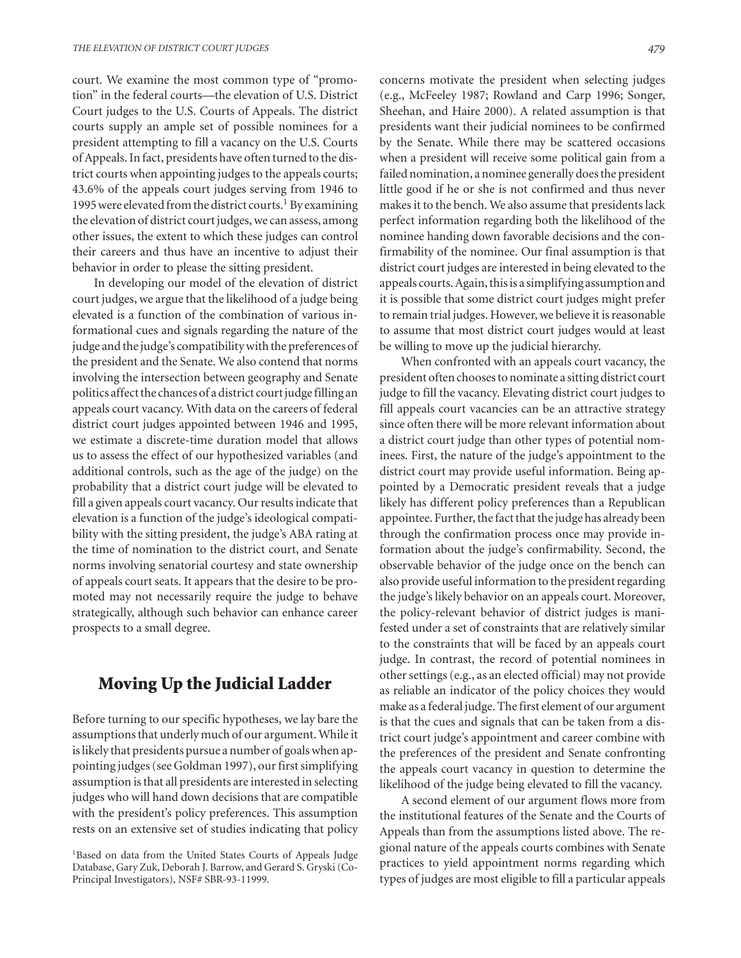court. We examine the most common type of "promotion" in the federal courts—the elevation of U.S. District Court judges to the U.S. Courts of Appeals. The district courts supply an ample set of possible nominees for a president attempting to fill a vacancy on the U.S. Courts of Appeals. In fact, presidents have often turned to the district courts when appointing judges to the appeals courts; 43.6% of the appeals court judges serving from 1946 to 1995 were elevated from the district courts.<sup>1</sup> By examining the elevation of district court judges, we can assess, among other issues, the extent to which these judges can control their careers and thus have an incentive to adjust their behavior in order to please the sitting president.

In developing our model of the elevation of district court judges, we argue that the likelihood of a judge being elevated is a function of the combination of various informational cues and signals regarding the nature of the judge and the judge's compatibility with the preferences of the president and the Senate. We also contend that norms involving the intersection between geography and Senate politics affect the chances of a district court judge filling an appeals court vacancy. With data on the careers of federal district court judges appointed between 1946 and 1995, we estimate a discrete-time duration model that allows us to assess the effect of our hypothesized variables (and additional controls, such as the age of the judge) on the probability that a district court judge will be elevated to fill a given appeals court vacancy. Our results indicate that elevation is a function of the judge's ideological compatibility with the sitting president, the judge's ABA rating at the time of nomination to the district court, and Senate norms involving senatorial courtesy and state ownership of appeals court seats. It appears that the desire to be promoted may not necessarily require the judge to behave strategically, although such behavior can enhance career prospects to a small degree.

# **Moving Up the Judicial Ladder**

Before turning to our specific hypotheses, we lay bare the assumptions that underly much of our argument. While it is likely that presidents pursue a number of goals when appointing judges (see Goldman 1997), our first simplifying assumption is that all presidents are interested in selecting judges who will hand down decisions that are compatible with the president's policy preferences. This assumption rests on an extensive set of studies indicating that policy

concerns motivate the president when selecting judges (e.g., McFeeley 1987; Rowland and Carp 1996; Songer, Sheehan, and Haire 2000). A related assumption is that presidents want their judicial nominees to be confirmed by the Senate. While there may be scattered occasions when a president will receive some political gain from a failed nomination, a nominee generally does the president little good if he or she is not confirmed and thus never makes it to the bench. We also assume that presidents lack perfect information regarding both the likelihood of the nominee handing down favorable decisions and the confirmability of the nominee. Our final assumption is that district court judges are interested in being elevated to the appeals courts. Again, this is a simplifying assumption and it is possible that some district court judges might prefer to remain trial judges. However, we believe it is reasonable to assume that most district court judges would at least be willing to move up the judicial hierarchy.

When confronted with an appeals court vacancy, the president often chooses to nominate a sitting district court judge to fill the vacancy. Elevating district court judges to fill appeals court vacancies can be an attractive strategy since often there will be more relevant information about a district court judge than other types of potential nominees. First, the nature of the judge's appointment to the district court may provide useful information. Being appointed by a Democratic president reveals that a judge likely has different policy preferences than a Republican appointee. Further, the fact that the judge has already been through the confirmation process once may provide information about the judge's confirmability. Second, the observable behavior of the judge once on the bench can also provide useful information to the president regarding the judge's likely behavior on an appeals court. Moreover, the policy-relevant behavior of district judges is manifested under a set of constraints that are relatively similar to the constraints that will be faced by an appeals court judge. In contrast, the record of potential nominees in other settings (e.g., as an elected official) may not provide as reliable an indicator of the policy choices they would make as a federal judge. The first element of our argument is that the cues and signals that can be taken from a district court judge's appointment and career combine with the preferences of the president and Senate confronting the appeals court vacancy in question to determine the likelihood of the judge being elevated to fill the vacancy.

A second element of our argument flows more from the institutional features of the Senate and the Courts of Appeals than from the assumptions listed above. The regional nature of the appeals courts combines with Senate practices to yield appointment norms regarding which types of judges are most eligible to fill a particular appeals

<sup>&</sup>lt;sup>1</sup>Based on data from the United States Courts of Appeals Judge Database, Gary Zuk, Deborah J. Barrow, and Gerard S. Gryski (Co-Principal Investigators), NSF# SBR-93-11999.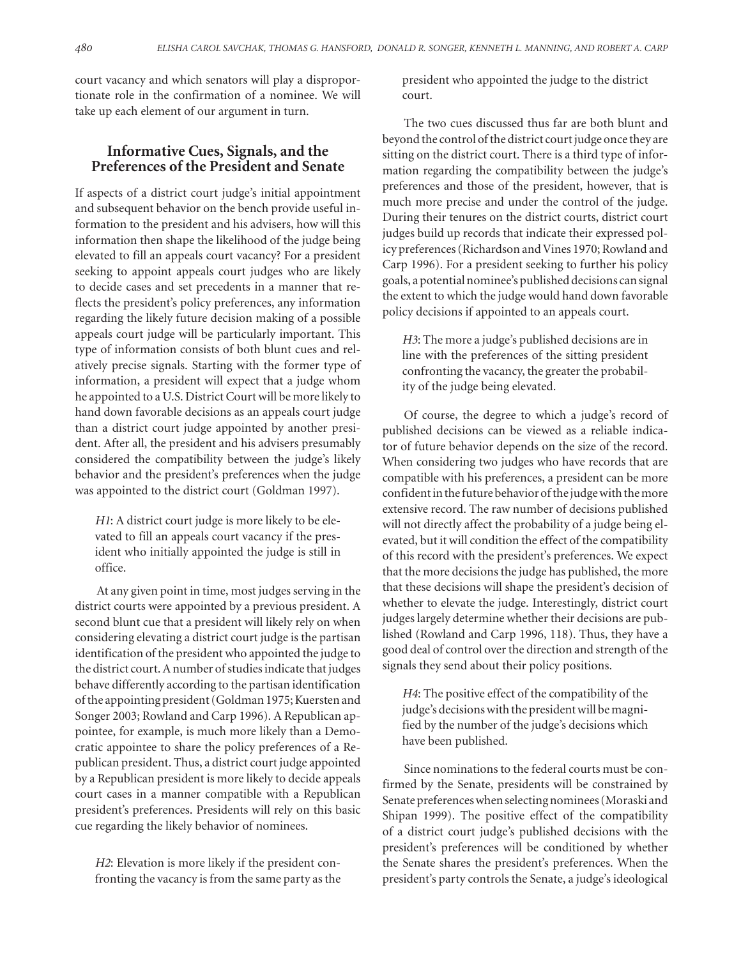court vacancy and which senators will play a disproportionate role in the confirmation of a nominee. We will take up each element of our argument in turn.

#### **Informative Cues, Signals, and the Preferences of the President and Senate**

If aspects of a district court judge's initial appointment and subsequent behavior on the bench provide useful information to the president and his advisers, how will this information then shape the likelihood of the judge being elevated to fill an appeals court vacancy? For a president seeking to appoint appeals court judges who are likely to decide cases and set precedents in a manner that reflects the president's policy preferences, any information regarding the likely future decision making of a possible appeals court judge will be particularly important. This type of information consists of both blunt cues and relatively precise signals. Starting with the former type of information, a president will expect that a judge whom he appointed to a U.S. District Court will be more likely to hand down favorable decisions as an appeals court judge than a district court judge appointed by another president. After all, the president and his advisers presumably considered the compatibility between the judge's likely behavior and the president's preferences when the judge was appointed to the district court (Goldman 1997).

*H1*: A district court judge is more likely to be elevated to fill an appeals court vacancy if the president who initially appointed the judge is still in office.

At any given point in time, most judges serving in the district courts were appointed by a previous president. A second blunt cue that a president will likely rely on when considering elevating a district court judge is the partisan identification of the president who appointed the judge to the district court. A number of studies indicate that judges behave differently according to the partisan identification of the appointing president (Goldman 1975; Kuersten and Songer 2003; Rowland and Carp 1996). A Republican appointee, for example, is much more likely than a Democratic appointee to share the policy preferences of a Republican president. Thus, a district court judge appointed by a Republican president is more likely to decide appeals court cases in a manner compatible with a Republican president's preferences. Presidents will rely on this basic cue regarding the likely behavior of nominees.

*H2*: Elevation is more likely if the president confronting the vacancy is from the same party as the president who appointed the judge to the district court.

The two cues discussed thus far are both blunt and beyond the control of the district court judge once they are sitting on the district court. There is a third type of information regarding the compatibility between the judge's preferences and those of the president, however, that is much more precise and under the control of the judge. During their tenures on the district courts, district court judges build up records that indicate their expressed policy preferences (Richardson and Vines 1970; Rowland and Carp 1996). For a president seeking to further his policy goals, a potential nominee's published decisions can signal the extent to which the judge would hand down favorable policy decisions if appointed to an appeals court.

*H3*: The more a judge's published decisions are in line with the preferences of the sitting president confronting the vacancy, the greater the probability of the judge being elevated.

Of course, the degree to which a judge's record of published decisions can be viewed as a reliable indicator of future behavior depends on the size of the record. When considering two judges who have records that are compatible with his preferences, a president can be more confident in the future behavior of the judge with the more extensive record. The raw number of decisions published will not directly affect the probability of a judge being elevated, but it will condition the effect of the compatibility of this record with the president's preferences. We expect that the more decisions the judge has published, the more that these decisions will shape the president's decision of whether to elevate the judge. Interestingly, district court judges largely determine whether their decisions are published (Rowland and Carp 1996, 118). Thus, they have a good deal of control over the direction and strength of the signals they send about their policy positions.

*H4*: The positive effect of the compatibility of the judge's decisions with the president will be magnified by the number of the judge's decisions which have been published.

Since nominations to the federal courts must be confirmed by the Senate, presidents will be constrained by Senate preferences when selecting nominees (Moraski and Shipan 1999). The positive effect of the compatibility of a district court judge's published decisions with the president's preferences will be conditioned by whether the Senate shares the president's preferences. When the president's party controls the Senate, a judge's ideological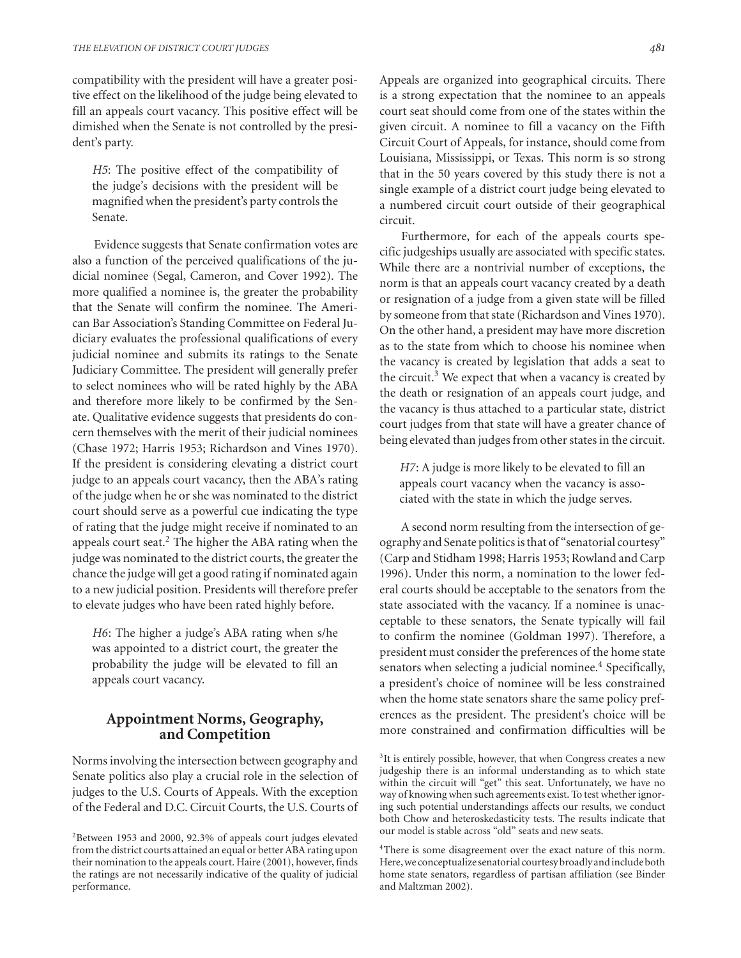compatibility with the president will have a greater positive effect on the likelihood of the judge being elevated to fill an appeals court vacancy. This positive effect will be dimished when the Senate is not controlled by the president's party.

*H5*: The positive effect of the compatibility of the judge's decisions with the president will be magnified when the president's party controls the Senate.

Evidence suggests that Senate confirmation votes are also a function of the perceived qualifications of the judicial nominee (Segal, Cameron, and Cover 1992). The more qualified a nominee is, the greater the probability that the Senate will confirm the nominee. The American Bar Association's Standing Committee on Federal Judiciary evaluates the professional qualifications of every judicial nominee and submits its ratings to the Senate Judiciary Committee. The president will generally prefer to select nominees who will be rated highly by the ABA and therefore more likely to be confirmed by the Senate. Qualitative evidence suggests that presidents do concern themselves with the merit of their judicial nominees (Chase 1972; Harris 1953; Richardson and Vines 1970). If the president is considering elevating a district court judge to an appeals court vacancy, then the ABA's rating of the judge when he or she was nominated to the district court should serve as a powerful cue indicating the type of rating that the judge might receive if nominated to an appeals court seat.<sup>2</sup> The higher the ABA rating when the judge was nominated to the district courts, the greater the chance the judge will get a good rating if nominated again to a new judicial position. Presidents will therefore prefer to elevate judges who have been rated highly before.

*H6*: The higher a judge's ABA rating when s/he was appointed to a district court, the greater the probability the judge will be elevated to fill an appeals court vacancy.

#### **Appointment Norms, Geography, and Competition**

Norms involving the intersection between geography and Senate politics also play a crucial role in the selection of judges to the U.S. Courts of Appeals. With the exception of the Federal and D.C. Circuit Courts, the U.S. Courts of Appeals are organized into geographical circuits. There is a strong expectation that the nominee to an appeals court seat should come from one of the states within the given circuit. A nominee to fill a vacancy on the Fifth Circuit Court of Appeals, for instance, should come from Louisiana, Mississippi, or Texas. This norm is so strong that in the 50 years covered by this study there is not a single example of a district court judge being elevated to a numbered circuit court outside of their geographical circuit.

Furthermore, for each of the appeals courts specific judgeships usually are associated with specific states. While there are a nontrivial number of exceptions, the norm is that an appeals court vacancy created by a death or resignation of a judge from a given state will be filled by someone from that state (Richardson and Vines 1970). On the other hand, a president may have more discretion as to the state from which to choose his nominee when the vacancy is created by legislation that adds a seat to the circuit.<sup>3</sup> We expect that when a vacancy is created by the death or resignation of an appeals court judge, and the vacancy is thus attached to a particular state, district court judges from that state will have a greater chance of being elevated than judges from other states in the circuit.

*H7*: A judge is more likely to be elevated to fill an appeals court vacancy when the vacancy is associated with the state in which the judge serves.

A second norm resulting from the intersection of geography and Senate politics is that of "senatorial courtesy" (Carp and Stidham 1998; Harris 1953; Rowland and Carp 1996). Under this norm, a nomination to the lower federal courts should be acceptable to the senators from the state associated with the vacancy. If a nominee is unacceptable to these senators, the Senate typically will fail to confirm the nominee (Goldman 1997). Therefore, a president must consider the preferences of the home state senators when selecting a judicial nominee.<sup>4</sup> Specifically, a president's choice of nominee will be less constrained when the home state senators share the same policy preferences as the president. The president's choice will be more constrained and confirmation difficulties will be

<sup>3</sup>It is entirely possible, however, that when Congress creates a new judgeship there is an informal understanding as to which state within the circuit will "get" this seat. Unfortunately, we have no way of knowing when such agreements exist. To test whether ignoring such potential understandings affects our results, we conduct both Chow and heteroskedasticity tests. The results indicate that our model is stable across "old" seats and new seats.

4There is some disagreement over the exact nature of this norm. Here, we conceptualize senatorial courtesy broadly and include both home state senators, regardless of partisan affiliation (see Binder and Maltzman 2002).

<sup>2</sup>Between 1953 and 2000, 92.3% of appeals court judges elevated from the district courts attained an equal or better ABA rating upon their nomination to the appeals court. Haire (2001), however, finds the ratings are not necessarily indicative of the quality of judicial performance.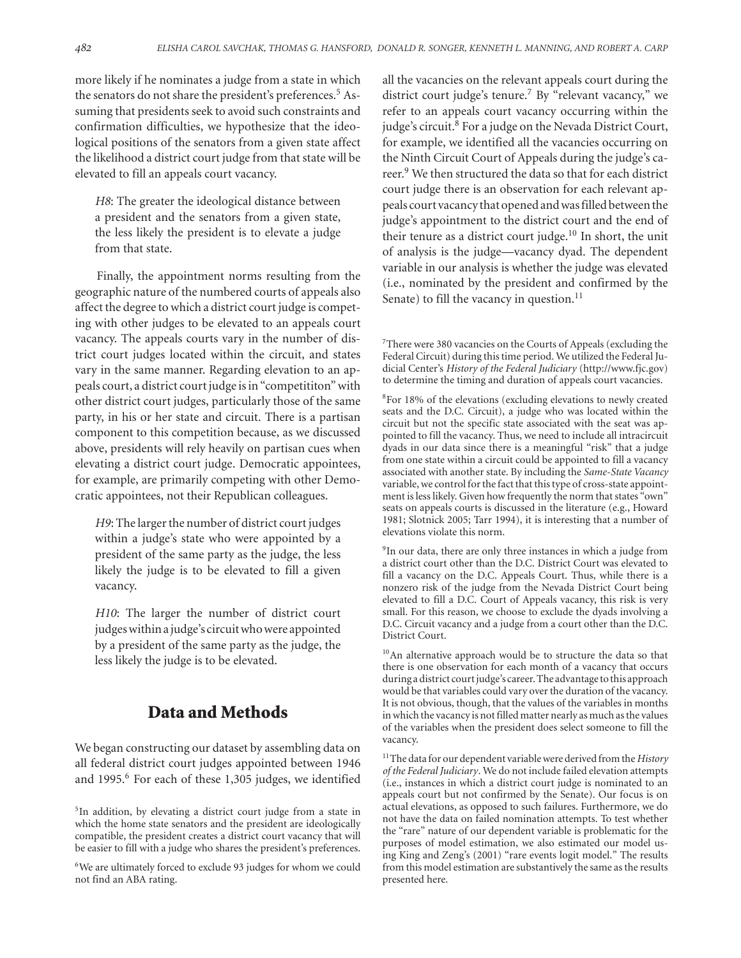more likely if he nominates a judge from a state in which the senators do not share the president's preferences.<sup>5</sup> Assuming that presidents seek to avoid such constraints and confirmation difficulties, we hypothesize that the ideological positions of the senators from a given state affect the likelihood a district court judge from that state will be elevated to fill an appeals court vacancy.

*H8*: The greater the ideological distance between a president and the senators from a given state, the less likely the president is to elevate a judge from that state.

Finally, the appointment norms resulting from the geographic nature of the numbered courts of appeals also affect the degree to which a district court judge is competing with other judges to be elevated to an appeals court vacancy. The appeals courts vary in the number of district court judges located within the circuit, and states vary in the same manner. Regarding elevation to an appeals court, a district court judge is in "competititon" with other district court judges, particularly those of the same party, in his or her state and circuit. There is a partisan component to this competition because, as we discussed above, presidents will rely heavily on partisan cues when elevating a district court judge. Democratic appointees, for example, are primarily competing with other Democratic appointees, not their Republican colleagues.

*H9*: The larger the number of district court judges within a judge's state who were appointed by a president of the same party as the judge, the less likely the judge is to be elevated to fill a given vacancy.

*H10*: The larger the number of district court judges within a judge's circuit who were appointed by a president of the same party as the judge, the less likely the judge is to be elevated.

# **Data and Methods**

We began constructing our dataset by assembling data on all federal district court judges appointed between 1946 and 1995.<sup>6</sup> For each of these 1,305 judges, we identified all the vacancies on the relevant appeals court during the district court judge's tenure.<sup>7</sup> By "relevant vacancy," we refer to an appeals court vacancy occurring within the judge's circuit.<sup>8</sup> For a judge on the Nevada District Court, for example, we identified all the vacancies occurring on the Ninth Circuit Court of Appeals during the judge's career.<sup>9</sup> We then structured the data so that for each district court judge there is an observation for each relevant appeals court vacancy that opened and was filled between the judge's appointment to the district court and the end of their tenure as a district court judge. $10$  In short, the unit of analysis is the judge—vacancy dyad. The dependent variable in our analysis is whether the judge was elevated (i.e., nominated by the president and confirmed by the Senate) to fill the vacancy in question. $11$ 

7There were 380 vacancies on the Courts of Appeals (excluding the Federal Circuit) during this time period. We utilized the Federal Judicial Center's *History of the Federal Judiciary* (http://www.fjc.gov) to determine the timing and duration of appeals court vacancies.

8For 18% of the elevations (excluding elevations to newly created seats and the D.C. Circuit), a judge who was located within the circuit but not the specific state associated with the seat was appointed to fill the vacancy. Thus, we need to include all intracircuit dyads in our data since there is a meaningful "risk" that a judge from one state within a circuit could be appointed to fill a vacancy associated with another state. By including the *Same-State Vacancy* variable, we control for the fact that this type of cross-state appointment is less likely. Given how frequently the norm that states "own" seats on appeals courts is discussed in the literature (e.g., Howard 1981; Slotnick 2005; Tarr 1994), it is interesting that a number of elevations violate this norm.

9In our data, there are only three instances in which a judge from a district court other than the D.C. District Court was elevated to fill a vacancy on the D.C. Appeals Court. Thus, while there is a nonzero risk of the judge from the Nevada District Court being elevated to fill a D.C. Court of Appeals vacancy, this risk is very small. For this reason, we choose to exclude the dyads involving a D.C. Circuit vacancy and a judge from a court other than the D.C. District Court.

<sup>10</sup>An alternative approach would be to structure the data so that there is one observation for each month of a vacancy that occurs during a district court judge's career. The advantage to this approach would be that variables could vary over the duration of the vacancy. It is not obvious, though, that the values of the variables in months in which the vacancy is not filled matter nearly as much as the values of the variables when the president does select someone to fill the vacancy.

11The data for our dependent variable were derived from the*History of the Federal Judiciary*. We do not include failed elevation attempts (i.e., instances in which a district court judge is nominated to an appeals court but not confirmed by the Senate). Our focus is on actual elevations, as opposed to such failures. Furthermore, we do not have the data on failed nomination attempts. To test whether the "rare" nature of our dependent variable is problematic for the purposes of model estimation, we also estimated our model using King and Zeng's (2001) "rare events logit model." The results from this model estimation are substantively the same as the results presented here.

<sup>5</sup>In addition, by elevating a district court judge from a state in which the home state senators and the president are ideologically compatible, the president creates a district court vacancy that will be easier to fill with a judge who shares the president's preferences.

<sup>6</sup>We are ultimately forced to exclude 93 judges for whom we could not find an ABA rating.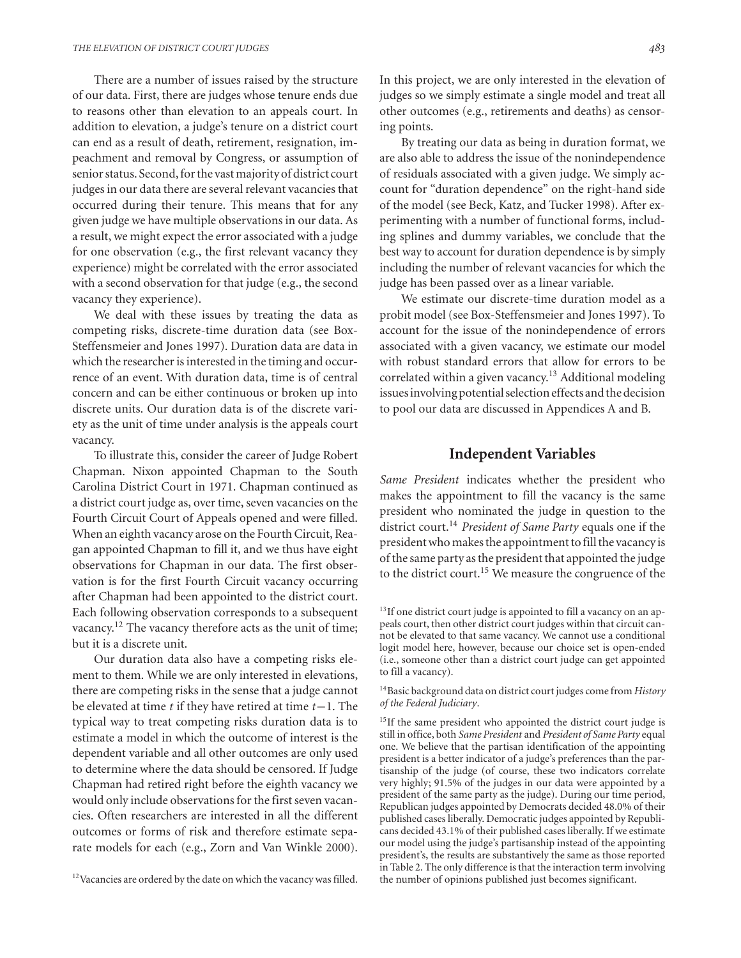There are a number of issues raised by the structure of our data. First, there are judges whose tenure ends due to reasons other than elevation to an appeals court. In addition to elevation, a judge's tenure on a district court can end as a result of death, retirement, resignation, impeachment and removal by Congress, or assumption of senior status. Second, for the vast majority of district court judges in our data there are several relevant vacancies that occurred during their tenure. This means that for any given judge we have multiple observations in our data. As a result, we might expect the error associated with a judge for one observation (e.g., the first relevant vacancy they experience) might be correlated with the error associated with a second observation for that judge (e.g., the second vacancy they experience).

We deal with these issues by treating the data as competing risks, discrete-time duration data (see Box-Steffensmeier and Jones 1997). Duration data are data in which the researcher is interested in the timing and occurrence of an event. With duration data, time is of central concern and can be either continuous or broken up into discrete units. Our duration data is of the discrete variety as the unit of time under analysis is the appeals court vacancy.

To illustrate this, consider the career of Judge Robert Chapman. Nixon appointed Chapman to the South Carolina District Court in 1971. Chapman continued as a district court judge as, over time, seven vacancies on the Fourth Circuit Court of Appeals opened and were filled. When an eighth vacancy arose on the Fourth Circuit, Reagan appointed Chapman to fill it, and we thus have eight observations for Chapman in our data. The first observation is for the first Fourth Circuit vacancy occurring after Chapman had been appointed to the district court. Each following observation corresponds to a subsequent vacancy.<sup>12</sup> The vacancy therefore acts as the unit of time; but it is a discrete unit.

Our duration data also have a competing risks element to them. While we are only interested in elevations, there are competing risks in the sense that a judge cannot be elevated at time *t* if they have retired at time *t*−1. The typical way to treat competing risks duration data is to estimate a model in which the outcome of interest is the dependent variable and all other outcomes are only used to determine where the data should be censored. If Judge Chapman had retired right before the eighth vacancy we would only include observations for the first seven vacancies. Often researchers are interested in all the different outcomes or forms of risk and therefore estimate separate models for each (e.g., Zorn and Van Winkle 2000).

<sup>12</sup>Vacancies are ordered by the date on which the vacancy was filled.

In this project, we are only interested in the elevation of judges so we simply estimate a single model and treat all other outcomes (e.g., retirements and deaths) as censoring points.

By treating our data as being in duration format, we are also able to address the issue of the nonindependence of residuals associated with a given judge. We simply account for "duration dependence" on the right-hand side of the model (see Beck, Katz, and Tucker 1998). After experimenting with a number of functional forms, including splines and dummy variables, we conclude that the best way to account for duration dependence is by simply including the number of relevant vacancies for which the judge has been passed over as a linear variable.

We estimate our discrete-time duration model as a probit model (see Box-Steffensmeier and Jones 1997). To account for the issue of the nonindependence of errors associated with a given vacancy, we estimate our model with robust standard errors that allow for errors to be correlated within a given vacancy.<sup>13</sup> Additional modeling issues involving potential selection effects and the decision to pool our data are discussed in Appendices A and B.

#### **Independent Variables**

*Same President* indicates whether the president who makes the appointment to fill the vacancy is the same president who nominated the judge in question to the district court.14 *President of Same Party* equals one if the president who makes the appointment to fill the vacancy is of the same party as the president that appointed the judge to the district court.15 We measure the congruence of the

14Basic background data on district court judges come from *History of the Federal Judiciary*.

<sup>&</sup>lt;sup>13</sup>If one district court judge is appointed to fill a vacancy on an appeals court, then other district court judges within that circuit cannot be elevated to that same vacancy. We cannot use a conditional logit model here, however, because our choice set is open-ended (i.e., someone other than a district court judge can get appointed to fill a vacancy).

<sup>&</sup>lt;sup>15</sup>If the same president who appointed the district court judge is still in office, both *Same President* and *President of Same Party* equal one. We believe that the partisan identification of the appointing president is a better indicator of a judge's preferences than the partisanship of the judge (of course, these two indicators correlate very highly; 91.5% of the judges in our data were appointed by a president of the same party as the judge). During our time period, Republican judges appointed by Democrats decided 48.0% of their published cases liberally. Democratic judges appointed by Republicans decided 43.1% of their published cases liberally. If we estimate our model using the judge's partisanship instead of the appointing president's, the results are substantively the same as those reported in Table 2. The only difference is that the interaction term involving the number of opinions published just becomes significant.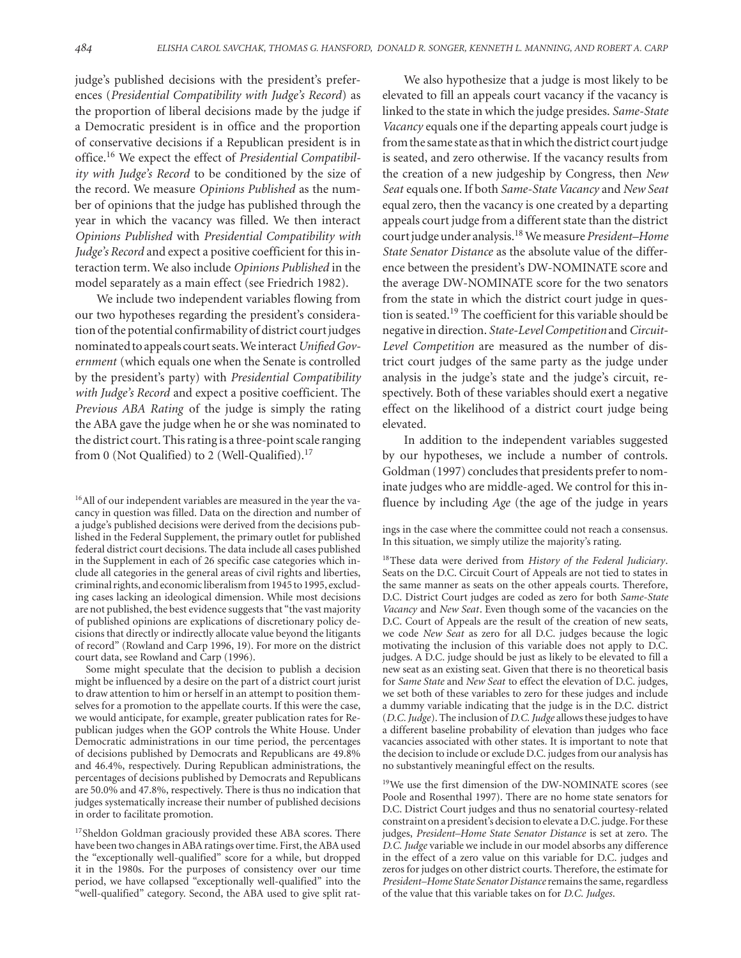judge's published decisions with the president's preferences (*Presidential Compatibility with Judge's Record*) as the proportion of liberal decisions made by the judge if a Democratic president is in office and the proportion of conservative decisions if a Republican president is in office.16 We expect the effect of *Presidential Compatibility with Judge's Record* to be conditioned by the size of the record. We measure *Opinions Published* as the number of opinions that the judge has published through the year in which the vacancy was filled. We then interact *Opinions Published* with *Presidential Compatibility with Judge's Record* and expect a positive coefficient for this interaction term. We also include *Opinions Published* in the model separately as a main effect (see Friedrich 1982).

We include two independent variables flowing from our two hypotheses regarding the president's consideration of the potential confirmability of district court judges nominated to appeals court seats. We interact*Unified Government* (which equals one when the Senate is controlled by the president's party) with *Presidential Compatibility with Judge's Record* and expect a positive coefficient. The *Previous ABA Rating* of the judge is simply the rating the ABA gave the judge when he or she was nominated to the district court. This rating is a three-point scale ranging from 0 (Not Qualified) to 2 (Well-Qualified). $17$ 

<sup>16</sup>All of our independent variables are measured in the year the vacancy in question was filled. Data on the direction and number of a judge's published decisions were derived from the decisions published in the Federal Supplement, the primary outlet for published federal district court decisions. The data include all cases published in the Supplement in each of 26 specific case categories which include all categories in the general areas of civil rights and liberties, criminal rights, and economic liberalism from 1945 to 1995, excluding cases lacking an ideological dimension. While most decisions are not published, the best evidence suggests that "the vast majority of published opinions are explications of discretionary policy decisions that directly or indirectly allocate value beyond the litigants of record" (Rowland and Carp 1996, 19). For more on the district court data, see Rowland and Carp (1996).

Some might speculate that the decision to publish a decision might be influenced by a desire on the part of a district court jurist to draw attention to him or herself in an attempt to position themselves for a promotion to the appellate courts. If this were the case, we would anticipate, for example, greater publication rates for Republican judges when the GOP controls the White House. Under Democratic administrations in our time period, the percentages of decisions published by Democrats and Republicans are 49.8% and 46.4%, respectively. During Republican administrations, the percentages of decisions published by Democrats and Republicans are 50.0% and 47.8%, respectively. There is thus no indication that judges systematically increase their number of published decisions in order to facilitate promotion.

<sup>17</sup>Sheldon Goldman graciously provided these ABA scores. There have been two changes in ABA ratings over time. First, the ABA used the "exceptionally well-qualified" score for a while, but dropped it in the 1980s. For the purposes of consistency over our time period, we have collapsed "exceptionally well-qualified" into the well-qualified" category. Second, the ABA used to give split rat-

We also hypothesize that a judge is most likely to be elevated to fill an appeals court vacancy if the vacancy is linked to the state in which the judge presides. *Same-State Vacancy* equals one if the departing appeals court judge is from the same state as that in which the district court judge is seated, and zero otherwise. If the vacancy results from the creation of a new judgeship by Congress, then *New Seat* equals one. If both *Same-State Vacancy* and *New Seat* equal zero, then the vacancy is one created by a departing appeals court judge from a different state than the district court judge under analysis.<sup>18</sup> We measure*President–Home State Senator Distance* as the absolute value of the difference between the president's DW-NOMINATE score and the average DW-NOMINATE score for the two senators from the state in which the district court judge in question is seated.<sup>19</sup> The coefficient for this variable should be negative in direction. *State-Level Competition* and*Circuit-Level Competition* are measured as the number of district court judges of the same party as the judge under analysis in the judge's state and the judge's circuit, respectively. Both of these variables should exert a negative effect on the likelihood of a district court judge being elevated.

In addition to the independent variables suggested by our hypotheses, we include a number of controls. Goldman (1997) concludes that presidents prefer to nominate judges who are middle-aged. We control for this influence by including *Age* (the age of the judge in years

ings in the case where the committee could not reach a consensus. In this situation, we simply utilize the majority's rating.

18These data were derived from *History of the Federal Judiciary*. Seats on the D.C. Circuit Court of Appeals are not tied to states in the same manner as seats on the other appeals courts. Therefore, D.C. District Court judges are coded as zero for both *Same-State Vacancy* and *New Seat*. Even though some of the vacancies on the D.C. Court of Appeals are the result of the creation of new seats, we code *New Seat* as zero for all D.C. judges because the logic motivating the inclusion of this variable does not apply to D.C. judges. A D.C. judge should be just as likely to be elevated to fill a new seat as an existing seat. Given that there is no theoretical basis for *Same State* and *New Seat* to effect the elevation of D.C. judges, we set both of these variables to zero for these judges and include a dummy variable indicating that the judge is in the D.C. district (*D.C. Judge*). The inclusion of *D.C. Judge* allows these judges to have a different baseline probability of elevation than judges who face vacancies associated with other states. It is important to note that the decision to include or exclude D.C. judges from our analysis has no substantively meaningful effect on the results.

19We use the first dimension of the DW-NOMINATE scores (see Poole and Rosenthal 1997). There are no home state senators for D.C. District Court judges and thus no senatorial courtesy-related constraint on a president's decision to elevate a D.C. judge. For these judges, *President–Home State Senator Distance* is set at zero. The *D.C. Judge* variable we include in our model absorbs any difference in the effect of a zero value on this variable for D.C. judges and zeros for judges on other district courts. Therefore, the estimate for *President–Home State Senator Distance*remains the same, regardless of the value that this variable takes on for *D.C. Judges*.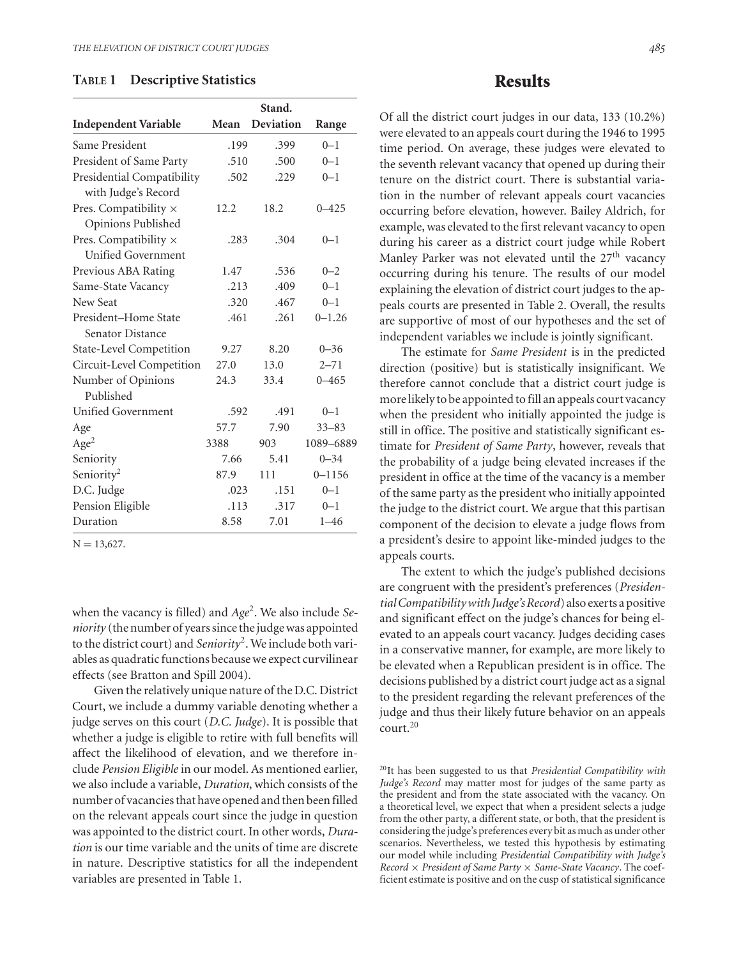| TABLE 1 | <b>Descriptive Statistics</b> |
|---------|-------------------------------|
|---------|-------------------------------|

|                                | Stand. |           |            |
|--------------------------------|--------|-----------|------------|
| <b>Independent Variable</b>    | Mean   | Deviation | Range      |
| Same President                 | .199   | .399      | $0 - 1$    |
| President of Same Party        | .510   | .500      | $0 - 1$    |
| Presidential Compatibility     | .502   | .229      | $0 - 1$    |
| with Judge's Record            |        |           |            |
| Pres. Compatibility $\times$   | 12.2   | 18.2      | $0 - 425$  |
| Opinions Published             |        |           |            |
| Pres. Compatibility ×          | .283   | .304      | $0 - 1$    |
| <b>Unified Government</b>      |        |           |            |
| Previous ABA Rating            | 1.47   | .536      | $0 - 2$    |
| Same-State Vacancy             | .213   | .409      | $0 - 1$    |
| New Seat                       | .320   | .467      | $0 - 1$    |
| President-Home State           | .461   | .261      | $0 - 1.26$ |
| Senator Distance               |        |           |            |
| <b>State-Level Competition</b> | 9.27   | 8.20      | $0 - 36$   |
| Circuit-Level Competition      | 27.0   | 13.0      | $2 - 71$   |
| Number of Opinions             | 24.3   | 33.4      | $0 - 465$  |
| Published                      |        |           |            |
| <b>Unified Government</b>      | .592   | .491      | $0 - 1$    |
| Age                            | 57.7   | 7.90      | $33 - 83$  |
| Age <sup>2</sup>               | 3388   | 903       | 1089-6889  |
| Seniority                      | 7.66   | 5.41      | $0 - 34$   |
| Seniority <sup>2</sup>         | 87.9   | 111       | $0 - 1156$ |
| D.C. Judge                     | .023   | .151      | $0 - 1$    |
| Pension Eligible               | .113   | .317      | $0 - 1$    |
| Duration                       | 8.58   | 7.01      | $1 - 46$   |

 $N = 13,627.$ 

when the vacancy is filled) and *Age*2. We also include *Seniority* (the number of years since the judge was appointed to the district court) and *Seniority*2. We include both variables as quadratic functions because we expect curvilinear effects (see Bratton and Spill 2004).

Given the relatively unique nature of the D.C. District Court, we include a dummy variable denoting whether a judge serves on this court (*D.C. Judge*). It is possible that whether a judge is eligible to retire with full benefits will affect the likelihood of elevation, and we therefore include *Pension Eligible* in our model. As mentioned earlier, we also include a variable, *Duration*, which consists of the number of vacancies that have opened and then been filled on the relevant appeals court since the judge in question was appointed to the district court. In other words, *Duration* is our time variable and the units of time are discrete in nature. Descriptive statistics for all the independent variables are presented in Table 1.

#### **Results**

Of all the district court judges in our data, 133 (10.2%) were elevated to an appeals court during the 1946 to 1995 time period. On average, these judges were elevated to the seventh relevant vacancy that opened up during their tenure on the district court. There is substantial variation in the number of relevant appeals court vacancies occurring before elevation, however. Bailey Aldrich, for example, was elevated to the first relevant vacancy to open during his career as a district court judge while Robert Manley Parker was not elevated until the 27<sup>th</sup> vacancy occurring during his tenure. The results of our model explaining the elevation of district court judges to the appeals courts are presented in Table 2. Overall, the results are supportive of most of our hypotheses and the set of independent variables we include is jointly significant.

The estimate for *Same President* is in the predicted direction (positive) but is statistically insignificant. We therefore cannot conclude that a district court judge is more likely to be appointed to fill an appeals court vacancy when the president who initially appointed the judge is still in office. The positive and statistically significant estimate for *President of Same Party*, however, reveals that the probability of a judge being elevated increases if the president in office at the time of the vacancy is a member of the same party as the president who initially appointed the judge to the district court. We argue that this partisan component of the decision to elevate a judge flows from a president's desire to appoint like-minded judges to the appeals courts.

The extent to which the judge's published decisions are congruent with the president's preferences (*Presidential Compatibility with Judge's Record*) also exerts a positive and significant effect on the judge's chances for being elevated to an appeals court vacancy. Judges deciding cases in a conservative manner, for example, are more likely to be elevated when a Republican president is in office. The decisions published by a district court judge act as a signal to the president regarding the relevant preferences of the judge and thus their likely future behavior on an appeals court.<sup>20</sup>

20It has been suggested to us that *Presidential Compatibility with Judge's Record* may matter most for judges of the same party as the president and from the state associated with the vacancy. On a theoretical level, we expect that when a president selects a judge from the other party, a different state, or both, that the president is considering the judge's preferences every bit as much as under other scenarios. Nevertheless, we tested this hypothesis by estimating our model while including *Presidential Compatibility with Judge's Record* × *President of Same Party* × *Same-State Vacancy*. The coefficient estimate is positive and on the cusp of statistical significance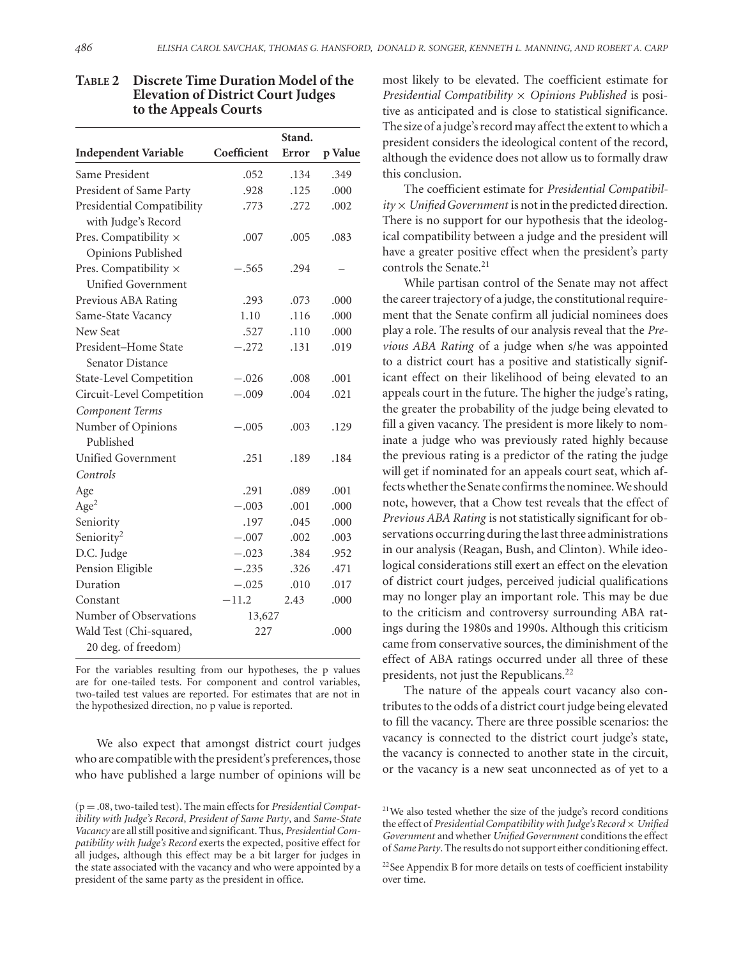|                                |             | Stand. |         |
|--------------------------------|-------------|--------|---------|
| <b>Independent Variable</b>    | Coefficient | Error  | p Value |
| Same President                 | .052        | .134   | .349    |
| President of Same Party        | .928        | .125   | .000    |
| Presidential Compatibility     | .773        | .272   | .002    |
| with Judge's Record            |             |        |         |
| Pres. Compatibility $\times$   | .007        | .005   | .083    |
| Opinions Published             |             |        |         |
| Pres. Compatibility x          | $-.565$     | .294   |         |
| <b>Unified Government</b>      |             |        |         |
| Previous ABA Rating            | .293        | .073   | .000    |
| Same-State Vacancy             | 1.10        | .116   | .000    |
| New Seat                       | .527        | .110   | .000    |
| President-Home State           | $-.272$     | .131   | .019    |
| Senator Distance               |             |        |         |
| <b>State-Level Competition</b> | $-.026$     | .008   | .001    |
| Circuit-Level Competition      | $-.009$     | .004   | .021    |
| Component Terms                |             |        |         |
| Number of Opinions             | $-.005$     | .003   | .129    |
| Published                      |             |        |         |
| <b>Unified Government</b>      | .251        | .189   | .184    |
| Controls                       |             |        |         |
| Age                            | .291        | .089   | .001    |
| Age <sup>2</sup>               | $-.003$     | .001   | .000    |
| Seniority                      | .197        | .045   | .000    |
| Seniority <sup>2</sup>         | $-.007$     | .002   | .003    |
| D.C. Judge                     | $-.023$     | .384   | .952    |
| Pension Eligible               | $-.235$     | .326   | .471    |
| Duration                       | $-.025$     | .010   | .017    |
| Constant                       | $-11.2$     | 2.43   | .000    |
| Number of Observations         | 13,627      |        |         |
| Wald Test (Chi-squared,        | 227         |        | .000    |
| 20 deg. of freedom)            |             |        |         |

**TABLE 2 Discrete Time Duration Model of the Elevation of District Court Judges to the Appeals Courts**

For the variables resulting from our hypotheses, the p values are for one-tailed tests. For component and control variables, two-tailed test values are reported. For estimates that are not in the hypothesized direction, no p value is reported.

We also expect that amongst district court judges who are compatible with the president's preferences, those who have published a large number of opinions will be most likely to be elevated. The coefficient estimate for *Presidential Compatibility* × *Opinions Published* is positive as anticipated and is close to statistical significance. The size of a judge's record may affect the extent to which a president considers the ideological content of the record, although the evidence does not allow us to formally draw this conclusion.

The coefficient estimate for *Presidential Compatibility*×*Unified Government* is not in the predicted direction. There is no support for our hypothesis that the ideological compatibility between a judge and the president will have a greater positive effect when the president's party controls the Senate.<sup>21</sup>

While partisan control of the Senate may not affect the career trajectory of a judge, the constitutional requirement that the Senate confirm all judicial nominees does play a role. The results of our analysis reveal that the *Previous ABA Rating* of a judge when s/he was appointed to a district court has a positive and statistically significant effect on their likelihood of being elevated to an appeals court in the future. The higher the judge's rating, the greater the probability of the judge being elevated to fill a given vacancy. The president is more likely to nominate a judge who was previously rated highly because the previous rating is a predictor of the rating the judge will get if nominated for an appeals court seat, which affects whether the Senate confirms the nominee. We should note, however, that a Chow test reveals that the effect of *Previous ABA Rating* is not statistically significant for observations occurring during the last three administrations in our analysis (Reagan, Bush, and Clinton). While ideological considerations still exert an effect on the elevation of district court judges, perceived judicial qualifications may no longer play an important role. This may be due to the criticism and controversy surrounding ABA ratings during the 1980s and 1990s. Although this criticism came from conservative sources, the diminishment of the effect of ABA ratings occurred under all three of these presidents, not just the Republicans.22

The nature of the appeals court vacancy also contributes to the odds of a district court judge being elevated to fill the vacancy. There are three possible scenarios: the vacancy is connected to the district court judge's state, the vacancy is connected to another state in the circuit, or the vacancy is a new seat unconnected as of yet to a

<sup>(</sup>p = .08, two-tailed test). The main effects for *Presidential Compatibility with Judge's Record*, *President of Same Party*, and *Same-State Vacancy* are all still positive and significant. Thus, *Presidential Compatibility with Judge's Record* exerts the expected, positive effect for all judges, although this effect may be a bit larger for judges in the state associated with the vacancy and who were appointed by a president of the same party as the president in office.

<sup>21</sup>We also tested whether the size of the judge's record conditions the effect of *Presidential Compatibility with Judge's Record* × *Unified Government* and whether *Unified Government* conditions the effect of *Same Party*. The results do not support either conditioning effect.

<sup>&</sup>lt;sup>22</sup>See Appendix B for more details on tests of coefficient instability over time.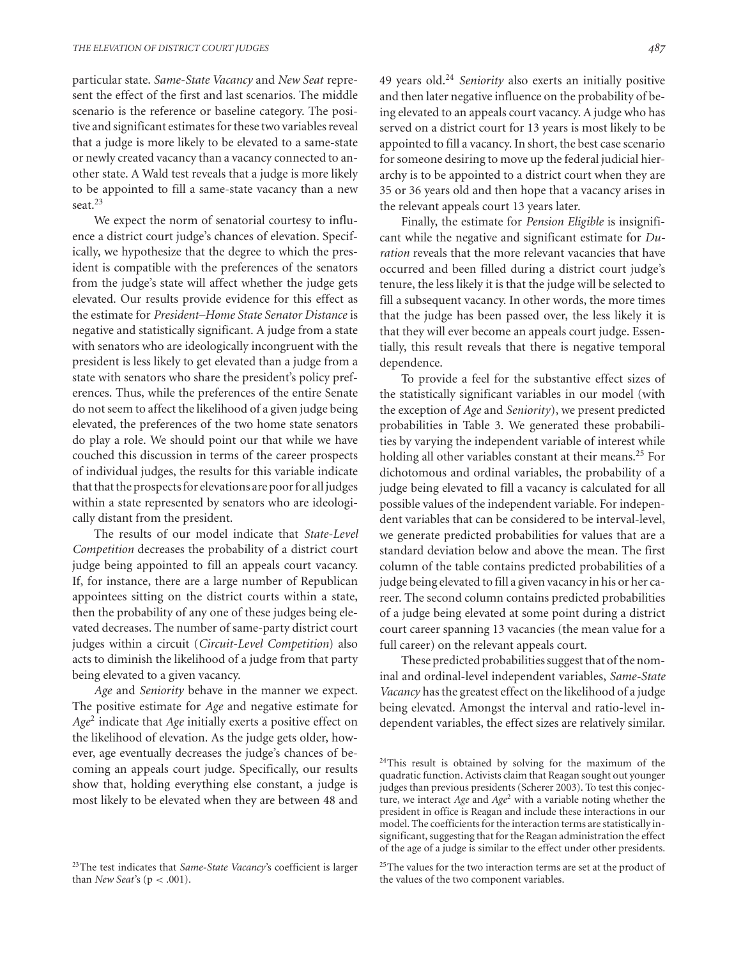particular state. *Same-State Vacancy* and *New Seat* represent the effect of the first and last scenarios. The middle scenario is the reference or baseline category. The positive and significant estimates for these two variables reveal that a judge is more likely to be elevated to a same-state or newly created vacancy than a vacancy connected to another state. A Wald test reveals that a judge is more likely to be appointed to fill a same-state vacancy than a new seat.<sup>23</sup>

We expect the norm of senatorial courtesy to influence a district court judge's chances of elevation. Specifically, we hypothesize that the degree to which the president is compatible with the preferences of the senators from the judge's state will affect whether the judge gets elevated. Our results provide evidence for this effect as the estimate for *President–Home State Senator Distance* is negative and statistically significant. A judge from a state with senators who are ideologically incongruent with the president is less likely to get elevated than a judge from a state with senators who share the president's policy preferences. Thus, while the preferences of the entire Senate do not seem to affect the likelihood of a given judge being elevated, the preferences of the two home state senators do play a role. We should point our that while we have couched this discussion in terms of the career prospects of individual judges, the results for this variable indicate that that the prospects for elevations are poor for all judges within a state represented by senators who are ideologically distant from the president.

The results of our model indicate that *State-Level Competition* decreases the probability of a district court judge being appointed to fill an appeals court vacancy. If, for instance, there are a large number of Republican appointees sitting on the district courts within a state, then the probability of any one of these judges being elevated decreases. The number of same-party district court judges within a circuit (*Circuit-Level Competition*) also acts to diminish the likelihood of a judge from that party being elevated to a given vacancy.

*Age* and *Seniority* behave in the manner we expect. The positive estimate for *Age* and negative estimate for *Age*<sup>2</sup> indicate that *Age* initially exerts a positive effect on the likelihood of elevation. As the judge gets older, however, age eventually decreases the judge's chances of becoming an appeals court judge. Specifically, our results show that, holding everything else constant, a judge is most likely to be elevated when they are between 48 and

49 years old.24 *Seniority* also exerts an initially positive and then later negative influence on the probability of being elevated to an appeals court vacancy. A judge who has served on a district court for 13 years is most likely to be appointed to fill a vacancy. In short, the best case scenario for someone desiring to move up the federal judicial hierarchy is to be appointed to a district court when they are 35 or 36 years old and then hope that a vacancy arises in the relevant appeals court 13 years later.

Finally, the estimate for *Pension Eligible* is insignificant while the negative and significant estimate for *Duration* reveals that the more relevant vacancies that have occurred and been filled during a district court judge's tenure, the less likely it is that the judge will be selected to fill a subsequent vacancy. In other words, the more times that the judge has been passed over, the less likely it is that they will ever become an appeals court judge. Essentially, this result reveals that there is negative temporal dependence.

To provide a feel for the substantive effect sizes of the statistically significant variables in our model (with the exception of *Age* and *Seniority*), we present predicted probabilities in Table 3. We generated these probabilities by varying the independent variable of interest while holding all other variables constant at their means.<sup>25</sup> For dichotomous and ordinal variables, the probability of a judge being elevated to fill a vacancy is calculated for all possible values of the independent variable. For independent variables that can be considered to be interval-level, we generate predicted probabilities for values that are a standard deviation below and above the mean. The first column of the table contains predicted probabilities of a judge being elevated to fill a given vacancy in his or her career. The second column contains predicted probabilities of a judge being elevated at some point during a district court career spanning 13 vacancies (the mean value for a full career) on the relevant appeals court.

These predicted probabilities suggest that of the nominal and ordinal-level independent variables, *Same-State Vacancy* has the greatest effect on the likelihood of a judge being elevated. Amongst the interval and ratio-level independent variables, the effect sizes are relatively similar.

<sup>25</sup>The values for the two interaction terms are set at the product of the values of the two component variables.

<sup>23</sup>The test indicates that *Same-State Vacancy*'s coefficient is larger than *New Seat*'s ( $p < .001$ ).

<sup>&</sup>lt;sup>24</sup>This result is obtained by solving for the maximum of the quadratic function. Activists claim that Reagan sought out younger judges than previous presidents (Scherer 2003). To test this conjecture, we interact *Age* and *Age*<sup>2</sup> with a variable noting whether the president in office is Reagan and include these interactions in our model. The coefficients for the interaction terms are statistically insignificant, suggesting that for the Reagan administration the effect of the age of a judge is similar to the effect under other presidents.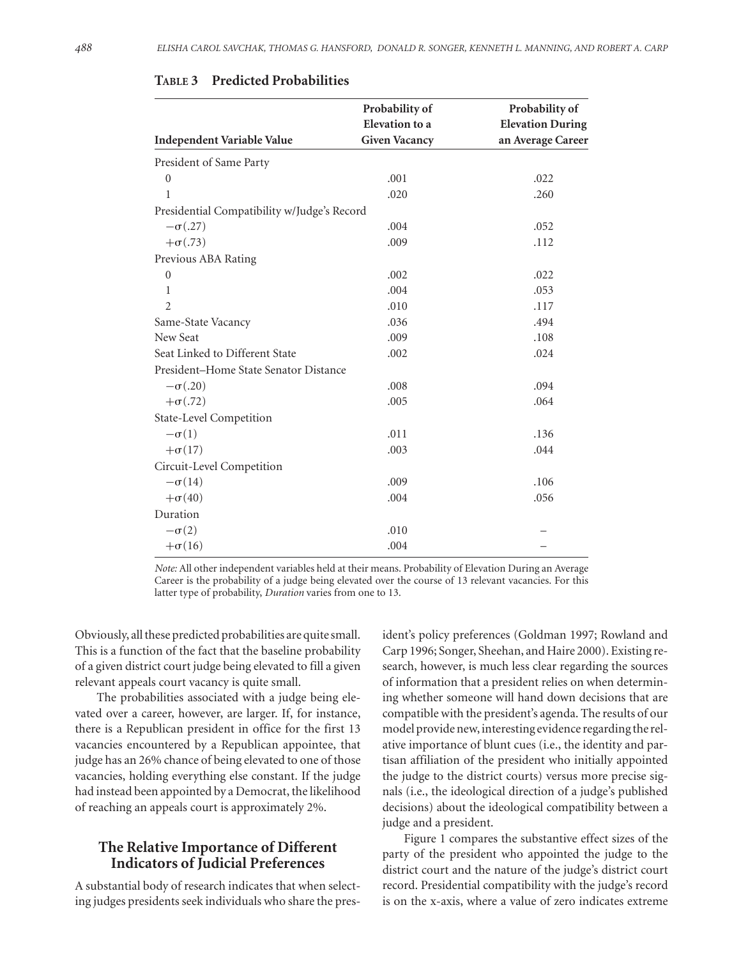|                                             | Probability of<br>Elevation to a | Probability of<br><b>Elevation During</b> |
|---------------------------------------------|----------------------------------|-------------------------------------------|
| <b>Independent Variable Value</b>           | <b>Given Vacancy</b>             | an Average Career                         |
| President of Same Party                     |                                  |                                           |
| $\mathbf{0}$                                | .001                             | .022                                      |
| $\mathbf{1}$                                | .020                             | .260                                      |
| Presidential Compatibility w/Judge's Record |                                  |                                           |
| $-\sigma(.27)$                              | .004                             | .052                                      |
| $+\sigma(.73)$                              | .009                             | .112                                      |
| Previous ABA Rating                         |                                  |                                           |
| $\theta$                                    | .002                             | .022                                      |
| 1                                           | .004                             | .053                                      |
| $\overline{2}$                              | .010                             | .117                                      |
| Same-State Vacancy                          | .036                             | .494                                      |
| New Seat                                    | .009                             | .108                                      |
| Seat Linked to Different State              | .002                             | .024                                      |
| President-Home State Senator Distance       |                                  |                                           |
| $-\sigma(.20)$                              | .008                             | .094                                      |
| $+\sigma(.72)$                              | .005                             | .064                                      |
| <b>State-Level Competition</b>              |                                  |                                           |
| $-\sigma(1)$                                | .011                             | .136                                      |
| $+\sigma(17)$                               | .003                             | .044                                      |
| Circuit-Level Competition                   |                                  |                                           |
| $-\sigma(14)$                               | .009                             | .106                                      |
| $+\sigma(40)$                               | .004                             | .056                                      |
| Duration                                    |                                  |                                           |
| $-\sigma(2)$                                | .010                             |                                           |
| $+\sigma(16)$                               | .004                             |                                           |

#### **TABLE 3 Predicted Probabilities**

*Note:* All other independent variables held at their means. Probability of Elevation During an Average Career is the probability of a judge being elevated over the course of 13 relevant vacancies. For this latter type of probability, *Duration* varies from one to 13.

Obviously, all these predicted probabilities are quite small. This is a function of the fact that the baseline probability of a given district court judge being elevated to fill a given relevant appeals court vacancy is quite small.

The probabilities associated with a judge being elevated over a career, however, are larger. If, for instance, there is a Republican president in office for the first 13 vacancies encountered by a Republican appointee, that judge has an 26% chance of being elevated to one of those vacancies, holding everything else constant. If the judge had instead been appointed by a Democrat, the likelihood of reaching an appeals court is approximately 2%.

#### **The Relative Importance of Different Indicators of Judicial Preferences**

A substantial body of research indicates that when selecting judges presidents seek individuals who share the president's policy preferences (Goldman 1997; Rowland and Carp 1996; Songer, Sheehan, and Haire 2000). Existing research, however, is much less clear regarding the sources of information that a president relies on when determining whether someone will hand down decisions that are compatible with the president's agenda. The results of our model provide new, interesting evidence regarding the relative importance of blunt cues (i.e., the identity and partisan affiliation of the president who initially appointed the judge to the district courts) versus more precise signals (i.e., the ideological direction of a judge's published decisions) about the ideological compatibility between a judge and a president.

Figure 1 compares the substantive effect sizes of the party of the president who appointed the judge to the district court and the nature of the judge's district court record. Presidential compatibility with the judge's record is on the x-axis, where a value of zero indicates extreme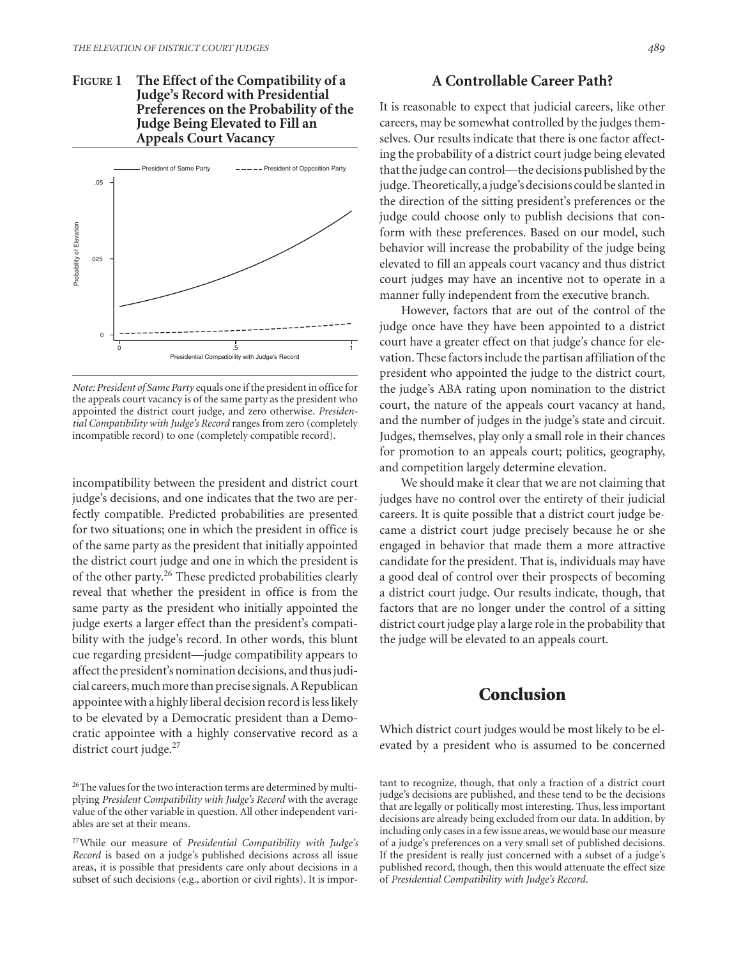#### **FIGURE 1 The Effect of the Compatibility of a Judge's Record with Presidential Preferences on the Probability of the Judge Being Elevated to Fill an Appeals Court Vacancy**



*Note: President of Same Party* equals one if the president in office for the appeals court vacancy is of the same party as the president who appointed the district court judge, and zero otherwise. *Presidential Compatibility with Judge's Record* ranges from zero (completely incompatible record) to one (completely compatible record).

incompatibility between the president and district court judge's decisions, and one indicates that the two are perfectly compatible. Predicted probabilities are presented for two situations; one in which the president in office is of the same party as the president that initially appointed the district court judge and one in which the president is of the other party.<sup>26</sup> These predicted probabilities clearly reveal that whether the president in office is from the same party as the president who initially appointed the judge exerts a larger effect than the president's compatibility with the judge's record. In other words, this blunt cue regarding president—judge compatibility appears to affect the president's nomination decisions, and thus judicial careers, much more than precise signals. A Republican appointee with a highly liberal decision record is less likely to be elevated by a Democratic president than a Democratic appointee with a highly conservative record as a district court judge.<sup>27</sup>

#### **A Controllable Career Path?**

It is reasonable to expect that judicial careers, like other careers, may be somewhat controlled by the judges themselves. Our results indicate that there is one factor affecting the probability of a district court judge being elevated that the judge can control—the decisions published by the judge. Theoretically, a judge's decisions could be slanted in the direction of the sitting president's preferences or the judge could choose only to publish decisions that conform with these preferences. Based on our model, such behavior will increase the probability of the judge being elevated to fill an appeals court vacancy and thus district court judges may have an incentive not to operate in a manner fully independent from the executive branch.

However, factors that are out of the control of the judge once have they have been appointed to a district court have a greater effect on that judge's chance for elevation. These factors include the partisan affiliation of the president who appointed the judge to the district court, the judge's ABA rating upon nomination to the district court, the nature of the appeals court vacancy at hand, and the number of judges in the judge's state and circuit. Judges, themselves, play only a small role in their chances for promotion to an appeals court; politics, geography, and competition largely determine elevation.

We should make it clear that we are not claiming that judges have no control over the entirety of their judicial careers. It is quite possible that a district court judge became a district court judge precisely because he or she engaged in behavior that made them a more attractive candidate for the president. That is, individuals may have a good deal of control over their prospects of becoming a district court judge. Our results indicate, though, that factors that are no longer under the control of a sitting district court judge play a large role in the probability that the judge will be elevated to an appeals court.

# **Conclusion**

Which district court judges would be most likely to be elevated by a president who is assumed to be concerned

<sup>&</sup>lt;sup>26</sup>The values for the two interaction terms are determined by multiplying *President Compatibility with Judge's Record* with the average value of the other variable in question. All other independent variables are set at their means.

<sup>27</sup>While our measure of *Presidential Compatibility with Judge's Record* is based on a judge's published decisions across all issue areas, it is possible that presidents care only about decisions in a subset of such decisions (e.g., abortion or civil rights). It is impor-

tant to recognize, though, that only a fraction of a district court judge's decisions are published, and these tend to be the decisions that are legally or politically most interesting. Thus, less important decisions are already being excluded from our data. In addition, by including only cases in a few issue areas, we would base our measure of a judge's preferences on a very small set of published decisions. If the president is really just concerned with a subset of a judge's published record, though, then this would attenuate the effect size of *Presidential Compatibility with Judge's Record*.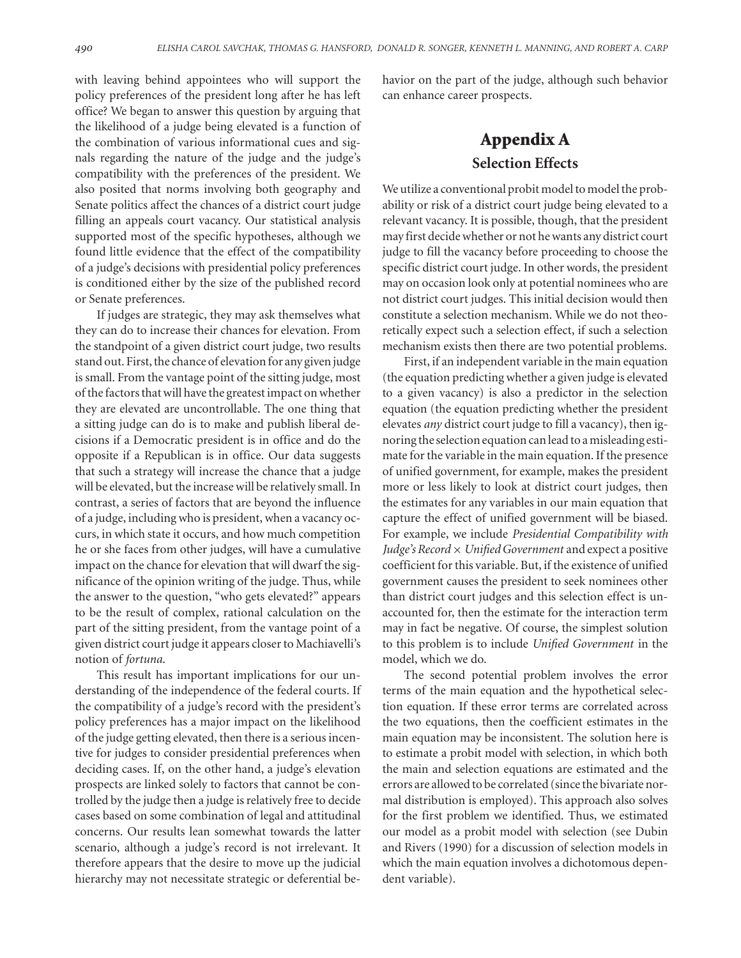with leaving behind appointees who will support the policy preferences of the president long after he has left office? We began to answer this question by arguing that the likelihood of a judge being elevated is a function of the combination of various informational cues and signals regarding the nature of the judge and the judge's compatibility with the preferences of the president. We also posited that norms involving both geography and Senate politics affect the chances of a district court judge filling an appeals court vacancy. Our statistical analysis supported most of the specific hypotheses, although we found little evidence that the effect of the compatibility of a judge's decisions with presidential policy preferences is conditioned either by the size of the published record or Senate preferences.

If judges are strategic, they may ask themselves what they can do to increase their chances for elevation. From the standpoint of a given district court judge, two results stand out. First, the chance of elevation for any given judge is small. From the vantage point of the sitting judge, most of the factors that will have the greatest impact on whether they are elevated are uncontrollable. The one thing that a sitting judge can do is to make and publish liberal decisions if a Democratic president is in office and do the opposite if a Republican is in office. Our data suggests that such a strategy will increase the chance that a judge will be elevated, but the increase will be relatively small. In contrast, a series of factors that are beyond the influence of a judge, including who is president, when a vacancy occurs, in which state it occurs, and how much competition he or she faces from other judges, will have a cumulative impact on the chance for elevation that will dwarf the significance of the opinion writing of the judge. Thus, while the answer to the question, "who gets elevated?" appears to be the result of complex, rational calculation on the part of the sitting president, from the vantage point of a given district court judge it appears closer to Machiavelli's notion of *fortuna*.

This result has important implications for our understanding of the independence of the federal courts. If the compatibility of a judge's record with the president's policy preferences has a major impact on the likelihood of the judge getting elevated, then there is a serious incentive for judges to consider presidential preferences when deciding cases. If, on the other hand, a judge's elevation prospects are linked solely to factors that cannot be controlled by the judge then a judge is relatively free to decide cases based on some combination of legal and attitudinal concerns. Our results lean somewhat towards the latter scenario, although a judge's record is not irrelevant. It therefore appears that the desire to move up the judicial hierarchy may not necessitate strategic or deferential behavior on the part of the judge, although such behavior can enhance career prospects.

# **Appendix A Selection Effects**

We utilize a conventional probit model to model the probability or risk of a district court judge being elevated to a relevant vacancy. It is possible, though, that the president may first decide whether or not he wants any district court judge to fill the vacancy before proceeding to choose the specific district court judge. In other words, the president may on occasion look only at potential nominees who are not district court judges. This initial decision would then constitute a selection mechanism. While we do not theoretically expect such a selection effect, if such a selection mechanism exists then there are two potential problems.

First, if an independent variable in the main equation (the equation predicting whether a given judge is elevated to a given vacancy) is also a predictor in the selection equation (the equation predicting whether the president elevates *any* district court judge to fill a vacancy), then ignoring the selection equation can lead to a misleading estimate for the variable in the main equation. If the presence of unified government, for example, makes the president more or less likely to look at district court judges, then the estimates for any variables in our main equation that capture the effect of unified government will be biased. For example, we include *Presidential Compatibility with Judge's Record*×*Unified Government* and expect a positive coefficient for this variable. But, if the existence of unified government causes the president to seek nominees other than district court judges and this selection effect is unaccounted for, then the estimate for the interaction term may in fact be negative. Of course, the simplest solution to this problem is to include *Unified Government* in the model, which we do.

The second potential problem involves the error terms of the main equation and the hypothetical selection equation. If these error terms are correlated across the two equations, then the coefficient estimates in the main equation may be inconsistent. The solution here is to estimate a probit model with selection, in which both the main and selection equations are estimated and the errors are allowed to be correlated (since the bivariate normal distribution is employed). This approach also solves for the first problem we identified. Thus, we estimated our model as a probit model with selection (see Dubin and Rivers (1990) for a discussion of selection models in which the main equation involves a dichotomous dependent variable).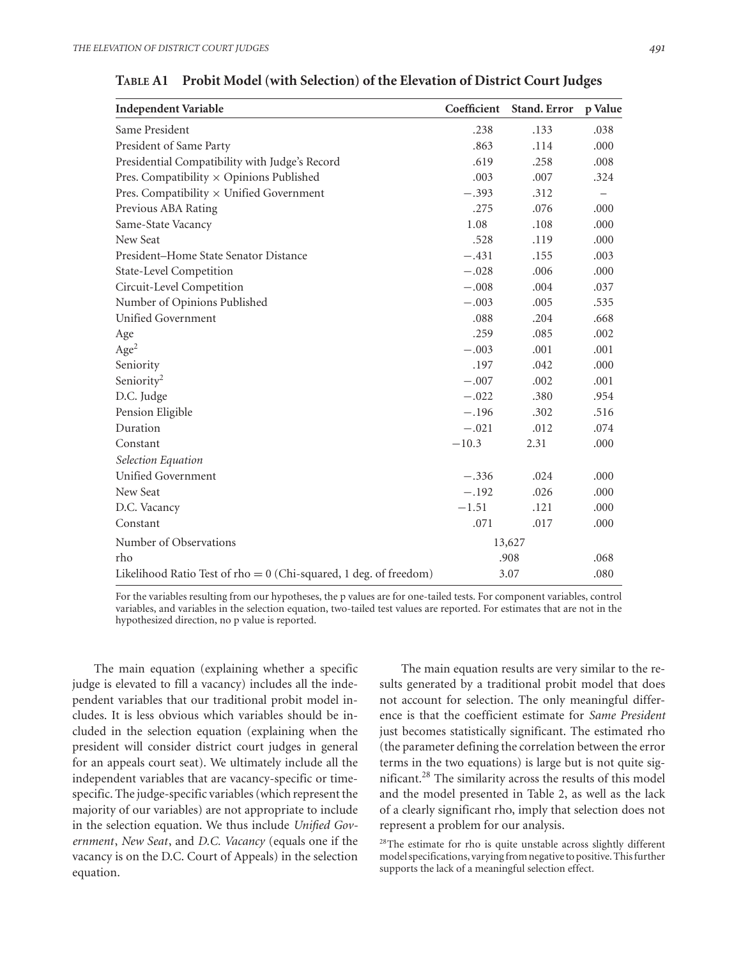| <b>Independent Variable</b>                                         | Coefficient | <b>Stand. Error</b> | p Value           |
|---------------------------------------------------------------------|-------------|---------------------|-------------------|
| Same President                                                      | .238        | .133                | .038              |
| President of Same Party                                             | .863        | .114                | .000              |
| Presidential Compatibility with Judge's Record                      | .619        | .258                | .008              |
| Pres. Compatibility $\times$ Opinions Published                     | .003        | .007                | .324              |
| Pres. Compatibility $\times$ Unified Government                     | $-.393$     | .312                | $\qquad \qquad -$ |
| Previous ABA Rating                                                 | .275        | .076                | .000              |
| Same-State Vacancy                                                  | 1.08        | .108                | .000              |
| New Seat                                                            | .528        | .119                | .000              |
| President–Home State Senator Distance                               | $-.431$     | .155                | .003              |
| <b>State-Level Competition</b>                                      | $-.028$     | .006                | .000              |
| Circuit-Level Competition                                           | $-.008$     | .004                | .037              |
| Number of Opinions Published                                        | $-.003$     | .005                | .535              |
| Unified Government                                                  | .088        | .204                | .668              |
| Age                                                                 | .259        | .085                | .002              |
| Age <sup>2</sup>                                                    | $-.003$     | .001                | .001              |
| Seniority                                                           | .197        | .042                | .000              |
| Seniority <sup>2</sup>                                              | $-.007$     | .002                | .001              |
| D.C. Judge                                                          | $-.022$     | .380                | .954              |
| Pension Eligible                                                    | $-.196$     | .302                | .516              |
| Duration                                                            | $-.021$     | .012                | .074              |
| Constant                                                            | $-10.3$     | 2.31                | .000              |
| Selection Equation                                                  |             |                     |                   |
| <b>Unified Government</b>                                           | $-.336$     | .024                | .000              |
| New Seat                                                            | $-.192$     | .026                | .000              |
| D.C. Vacancy                                                        | $-1.51$     | .121                | .000              |
| Constant                                                            | .071        | .017                | .000              |
| Number of Observations                                              |             | 13,627              |                   |
| rho                                                                 |             | .908                | .068              |
| Likelihood Ratio Test of $rho = 0$ (Chi-squared, 1 deg. of freedom) |             | 3.07                | .080              |

**TABLE A1 Probit Model (with Selection) of the Elevation of District Court Judges**

For the variables resulting from our hypotheses, the p values are for one-tailed tests. For component variables, control variables, and variables in the selection equation, two-tailed test values are reported. For estimates that are not in the hypothesized direction, no p value is reported.

The main equation (explaining whether a specific judge is elevated to fill a vacancy) includes all the independent variables that our traditional probit model includes. It is less obvious which variables should be included in the selection equation (explaining when the president will consider district court judges in general for an appeals court seat). We ultimately include all the independent variables that are vacancy-specific or timespecific. The judge-specific variables (which represent the majority of our variables) are not appropriate to include in the selection equation. We thus include *Unified Government*, *New Seat*, and *D.C. Vacancy* (equals one if the vacancy is on the D.C. Court of Appeals) in the selection equation.

The main equation results are very similar to the results generated by a traditional probit model that does not account for selection. The only meaningful difference is that the coefficient estimate for *Same President* just becomes statistically significant. The estimated rho (the parameter defining the correlation between the error terms in the two equations) is large but is not quite significant.<sup>28</sup> The similarity across the results of this model and the model presented in Table 2, as well as the lack of a clearly significant rho, imply that selection does not represent a problem for our analysis.

<sup>28</sup>The estimate for rho is quite unstable across slightly different model specifications, varying from negative to positive. This further supports the lack of a meaningful selection effect.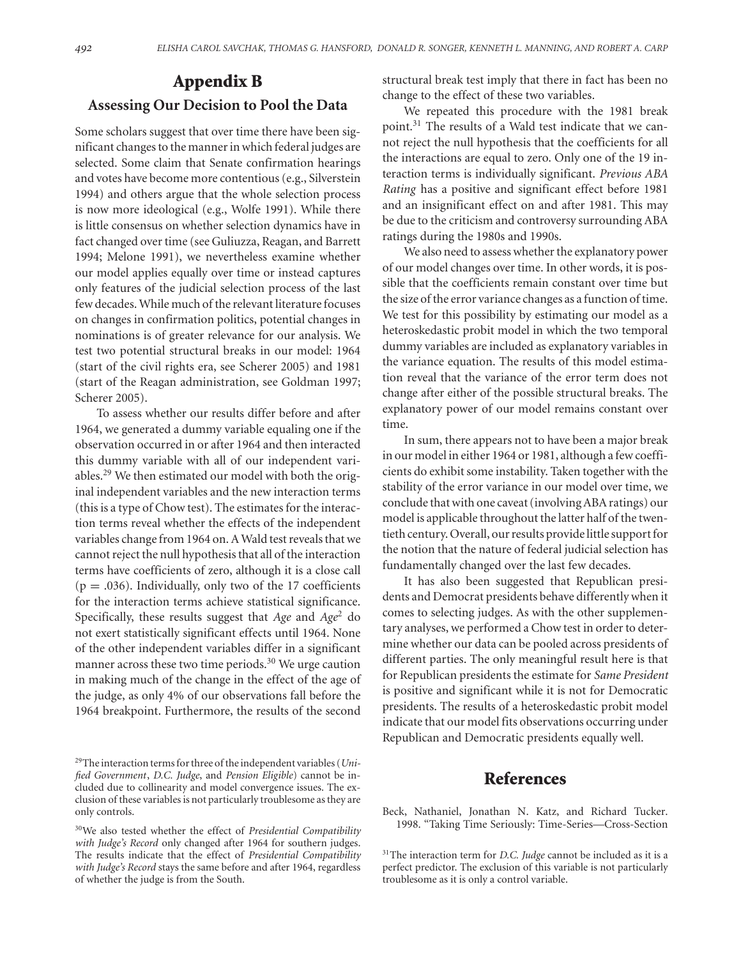## **Appendix B**

## **Assessing Our Decision to Pool the Data**

Some scholars suggest that over time there have been significant changes to the manner in which federal judges are selected. Some claim that Senate confirmation hearings and votes have become more contentious (e.g., Silverstein 1994) and others argue that the whole selection process is now more ideological (e.g., Wolfe 1991). While there is little consensus on whether selection dynamics have in fact changed over time (see Guliuzza, Reagan, and Barrett 1994; Melone 1991), we nevertheless examine whether our model applies equally over time or instead captures only features of the judicial selection process of the last few decades. While much of the relevant literature focuses on changes in confirmation politics, potential changes in nominations is of greater relevance for our analysis. We test two potential structural breaks in our model: 1964 (start of the civil rights era, see Scherer 2005) and 1981 (start of the Reagan administration, see Goldman 1997; Scherer 2005).

To assess whether our results differ before and after 1964, we generated a dummy variable equaling one if the observation occurred in or after 1964 and then interacted this dummy variable with all of our independent variables.29 We then estimated our model with both the original independent variables and the new interaction terms (this is a type of Chow test). The estimates for the interaction terms reveal whether the effects of the independent variables change from 1964 on. A Wald test reveals that we cannot reject the null hypothesis that all of the interaction terms have coefficients of zero, although it is a close call  $(p = .036)$ . Individually, only two of the 17 coefficients for the interaction terms achieve statistical significance. Specifically, these results suggest that *Age* and *Age*<sup>2</sup> do not exert statistically significant effects until 1964. None of the other independent variables differ in a significant manner across these two time periods.<sup>30</sup> We urge caution in making much of the change in the effect of the age of the judge, as only 4% of our observations fall before the 1964 breakpoint. Furthermore, the results of the second structural break test imply that there in fact has been no change to the effect of these two variables.

We repeated this procedure with the 1981 break point.<sup>31</sup> The results of a Wald test indicate that we cannot reject the null hypothesis that the coefficients for all the interactions are equal to zero. Only one of the 19 interaction terms is individually significant. *Previous ABA Rating* has a positive and significant effect before 1981 and an insignificant effect on and after 1981. This may be due to the criticism and controversy surrounding ABA ratings during the 1980s and 1990s.

We also need to assess whether the explanatory power of our model changes over time. In other words, it is possible that the coefficients remain constant over time but the size of the error variance changes as a function of time. We test for this possibility by estimating our model as a heteroskedastic probit model in which the two temporal dummy variables are included as explanatory variables in the variance equation. The results of this model estimation reveal that the variance of the error term does not change after either of the possible structural breaks. The explanatory power of our model remains constant over time.

In sum, there appears not to have been a major break in our model in either 1964 or 1981, although a few coefficients do exhibit some instability. Taken together with the stability of the error variance in our model over time, we conclude that with one caveat (involving ABA ratings) our model is applicable throughout the latter half of the twentieth century. Overall, our results provide little support for the notion that the nature of federal judicial selection has fundamentally changed over the last few decades.

It has also been suggested that Republican presidents and Democrat presidents behave differently when it comes to selecting judges. As with the other supplementary analyses, we performed a Chow test in order to determine whether our data can be pooled across presidents of different parties. The only meaningful result here is that for Republican presidents the estimate for *Same President* is positive and significant while it is not for Democratic presidents. The results of a heteroskedastic probit model indicate that our model fits observations occurring under Republican and Democratic presidents equally well.

# **References**

Beck, Nathaniel, Jonathan N. Katz, and Richard Tucker. 1998. "Taking Time Seriously: Time-Series—Cross-Section

<sup>29</sup>The interaction terms for three of the independent variables (*Unified Government*, *D.C. Judge*, and *Pension Eligible*) cannot be included due to collinearity and model convergence issues. The exclusion of these variables is not particularly troublesome as they are only controls.

<sup>30</sup>We also tested whether the effect of *Presidential Compatibility with Judge's Record* only changed after 1964 for southern judges. The results indicate that the effect of *Presidential Compatibility with Judge's Record* stays the same before and after 1964, regardless of whether the judge is from the South.

<sup>&</sup>lt;sup>31</sup>The interaction term for *D.C. Judge* cannot be included as it is a perfect predictor. The exclusion of this variable is not particularly troublesome as it is only a control variable.